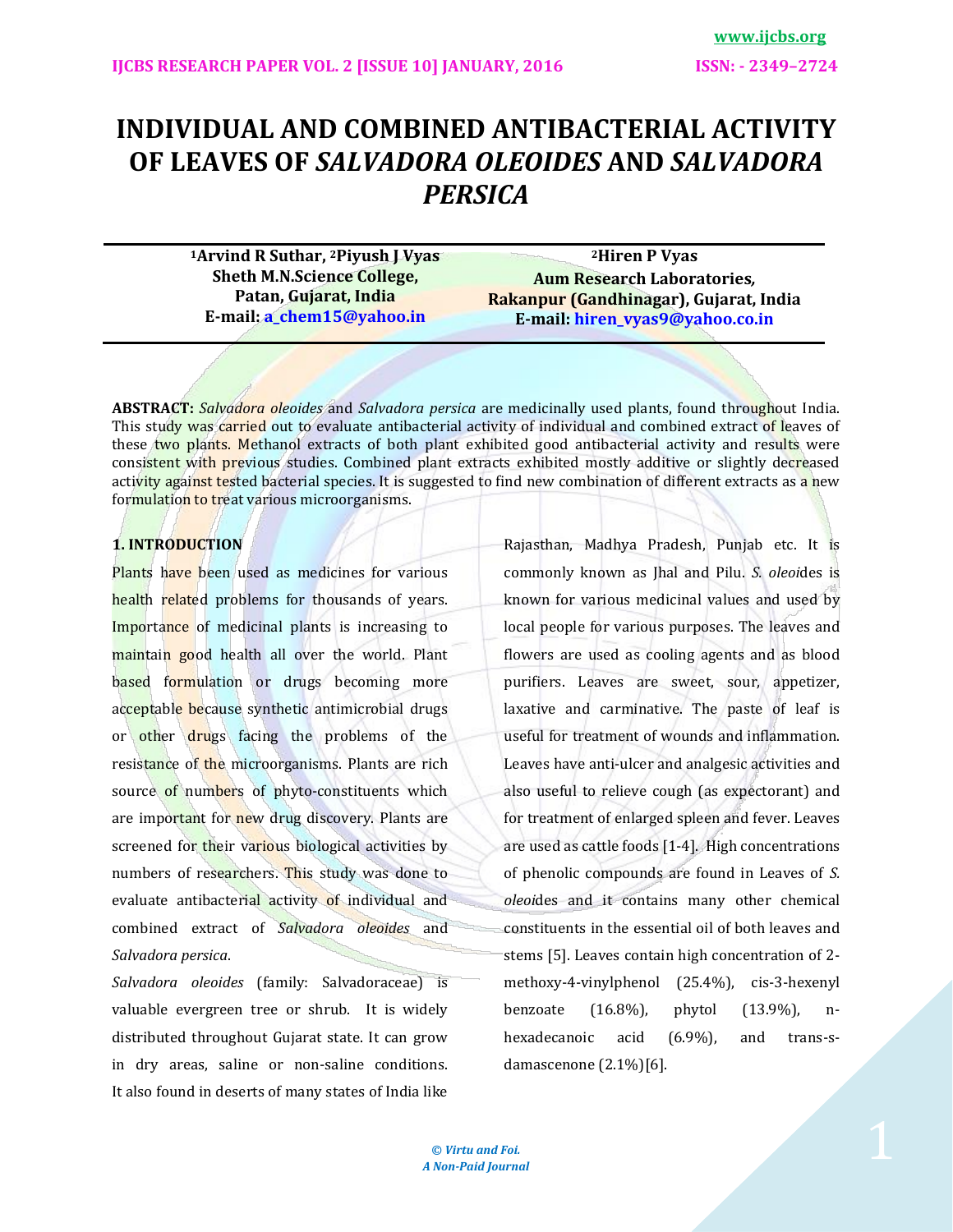# **INDIVIDUAL AND COMBINED ANTIBACTERIAL ACTIVITY OF LEAVES OF** *SALVADORA OLEOIDES* **AND** *SALVADORA PERSICA*

**<sup>1</sup>Arvind R Suthar, 2Piyush J Vyas Sheth M.N.Science College, Patan, Gujarat, India E-mail: [a\\_chem15@yahoo.in](mailto:a_chem15@yahoo.in)**

**<sup>2</sup>Hiren P Vyas Aum Research Laboratories***,* **Rakanpur (Gandhinagar), Gujarat, India E-mail: [hiren\\_vyas9@yahoo.co.in](mailto:hiren_vyas9@yahoo.co.in)**

**ABSTRACT:** *Salvadora oleoides* and *Salvadora persica* are medicinally used plants, found throughout India. This study was carried out to evaluate antibacterial activity of individual and combined extract of leaves of these two plants. Methanol extracts of both plant exhibited good antibacterial activity and results were consistent with previous studies. Combined plant extracts exhibited mostly additive or slightly decreased activity against tested bacterial species. It is suggested to find new combination of different extracts as a new formulation to treat various microorganisms.

# **1. INTRODUCTION**

Plants have been used as medicines for various health related problems for thousands of years. Importance of medicinal plants is increasing to maintain good health all over the world. Plant based formulation or drugs becoming more acceptable because synthetic antimicrobial drugs or other drugs facing the problems of the resistance of the microorganisms. Plants are rich source of numbers of phyto-constituents which are important for new drug discovery. Plants are screened for their various biological activities by numbers of researchers. This study was done to evaluate antibacterial activity of individual and combined extract of *Salvadora oleoides* and *Salvadora persica*.

*Salvadora oleoides* (family: Salvadoraceae) is valuable evergreen tree or shrub. It is widely distributed throughout Gujarat state. It can grow in dry areas, saline or non-saline conditions. It also found in deserts of many states of India like Rajasthan, Madhya Pradesh, Punjab etc. It is commonly known as Jhal and Pilu. *S. oleoi*des is known for various medicinal values and used by local people for various purposes. The leaves and flowers are used as cooling agents and as blood purifiers. Leaves are sweet, sour, appetizer, laxative and carminative. The paste of leaf is useful for treatment of wounds and inflammation. Leaves have anti-ulcer and analgesic activities and also useful to relieve cough (as expectorant) and for treatment of enlarged spleen and fever. Leaves are used as cattle foods [1-4]. High concentrations of phenolic compounds are found in Leaves of *S. oleoi*des and it contains many other chemical constituents in the essential oil of both leaves and stems [5]. Leaves contain high concentration of 2 methoxy-4-vinylphenol (25.4%), cis-3-hexenyl benzoate (16.8%), phytol (13.9%), nhexadecanoic acid (6.9%), and trans-sdamascenone (2.1%)[6].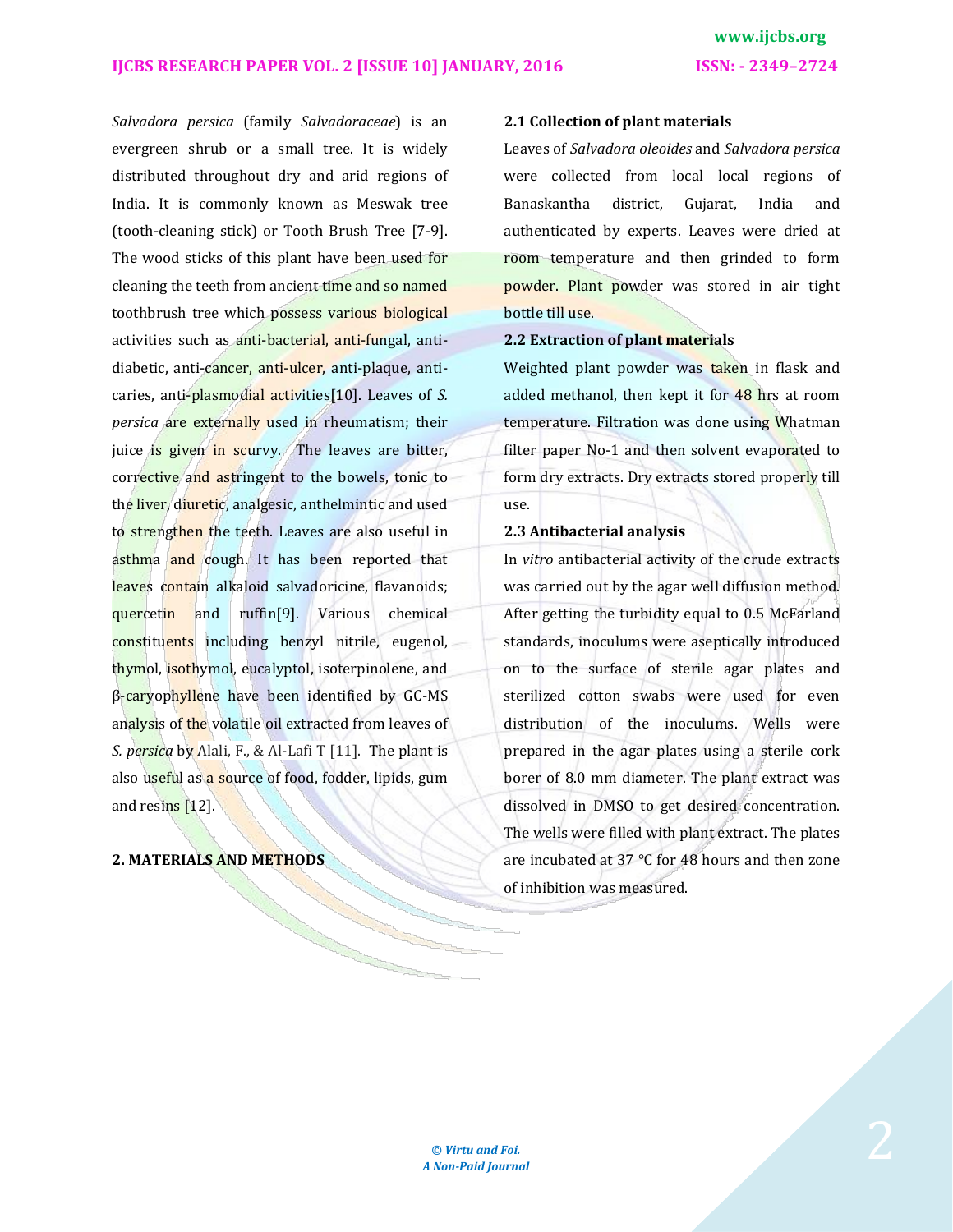### **IJCBS RESEARCH PAPER VOL. 2 [ISSUE 10] JANUARY, 2016 ISSN: - 2349–2724**

*Salvadora persica* (family *Salvadoraceae*) is an evergreen shrub or a small tree. It is widely distributed throughout dry and arid regions of India. It is commonly known as Meswak tree (tooth-cleaning stick) or Tooth Brush Tree [7-9]. The wood sticks of this plant have been used for cleaning the teeth from ancient time and so named toothbrush tree which possess various biological activities such as anti-bacterial, anti-fungal, antidiabetic, anti-cancer, anti-ulcer, anti-plaque, anticaries, anti-plasmodial activities[10]. Leaves of *S. persica* are externally used in rheumatism; their juice is given in scurvy. The leaves are bitter, corrective and astringent to the bowels, tonic to the liver, diuretic, analgesic, anthelmintic and used to strengthen the teeth. Leaves are also useful in asthma and cough. It has been reported that leaves contain alkaloid salvadoricine, flavanoids; quercetin and ruffin[9]. Various chemical constituents including benzyl nitrile, eugenol, thymol, isothymol, eucalyptol, isoterpinolene, and β-caryophyllene have been identified by GC-MS analysis of the volatile oil extracted from leaves of *S. persica* by Alali, F., & Al-Lafi T [11]. The plant is also useful as a source of food, fodder, lipids, gum and resins [12].

## **2. MATERIALS AND METHODS**

# **2.1 Collection of plant materials**

Leaves of *Salvadora oleoides* and *Salvadora persica* were collected from local local regions of Banaskantha district, Gujarat, India and authenticated by experts. Leaves were dried at room temperature and then grinded to form powder. Plant powder was stored in air tight bottle till use.

#### **2.2 Extraction of plant materials**

Weighted plant powder was taken in flask and added methanol, then kept it for 48 hrs at room temperature. Filtration was done using Whatman filter paper No-1 and then solvent evaporated to form dry extracts. Dry extracts stored properly till use.

# **2.3 Antibacterial analysis**

In *vitro* antibacterial activity of the crude extracts was carried out by the agar well diffusion method. After getting the turbidity equal to 0.5 McFarland standards, inoculums were aseptically introduced on to the surface of sterile agar plates and sterilized cotton swabs were used for even distribution of the inoculums. Wells were prepared in the agar plates using a sterile cork borer of 8.0 mm diameter. The plant extract was dissolved in DMSO to get desired concentration. The wells were filled with plant extract. The plates are incubated at 37 ℃ for 48 hours and then zone of inhibition was measured.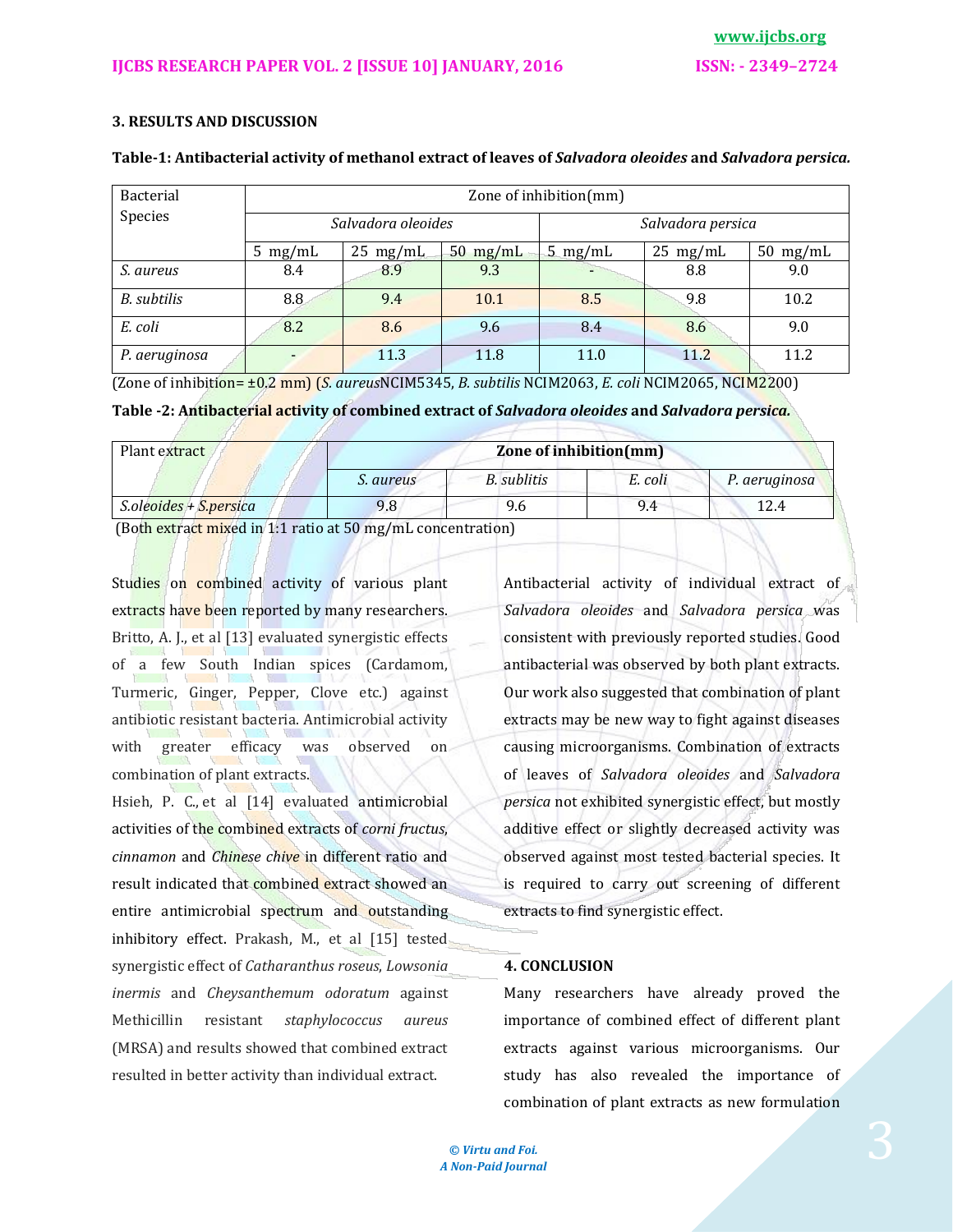# **3. RESULTS AND DISCUSSION**

| Bacterial        | Zone of inhibition(mm) |                    |                    |                   |                    |                      |  |
|------------------|------------------------|--------------------|--------------------|-------------------|--------------------|----------------------|--|
| Species          | Salvadora oleoides     |                    |                    | Salvadora persica |                    |                      |  |
|                  | $5 \text{ mg/mL}$      | $25 \text{ mg/mL}$ | $50 \text{ mg/mL}$ | $5 \text{ mg/mL}$ | $25 \text{ mg/mL}$ | $50 \; \text{mg/mL}$ |  |
| <i>S. aureus</i> | 8.4                    | 8.9                | 9.3                |                   | 8.8                | 9.0                  |  |
| B. subtilis      | 8.8                    | 9.4                | 10.1               | 8.5               | 9.8                | 10.2                 |  |
| E. coli          | 8.2                    | 8.6                | 9.6                | 8.4               | 8.6                | 9.0                  |  |
| P. aeruginosa    |                        | 11.3               | 11.8               | 11.0              | 11.2               | 11.2                 |  |

### **Table-1: Antibacterial activity of methanol extract of leaves of** *Salvadora oleoides* **and** *Salvadora persica.*

(Zone of inhibition= ±0.2 mm) (*S. aureus*NCIM5345, *B. subtilis* NCIM2063, *E. coli* NCIM2065, NCIM2200)

**Table -2: Antibacterial activity of combined extract of** *Salvadora oleoides* **and** *Salvadora persica.*

| Plant extract                                               | Zone of inhibition(mm) |                    |         |               |  |  |
|-------------------------------------------------------------|------------------------|--------------------|---------|---------------|--|--|
|                                                             | <i>S. aureus</i>       | <b>B.</b> sublitis | E. coli | P. aeruginosa |  |  |
| S.oleoides + S.persica                                      | 9.8                    | 9.6                | 9.4     | 12.4          |  |  |
| (Both extract mixed in 1:1 ratio at 50 mg/mL concentration) |                        |                    |         |               |  |  |

Studies on combined activity of various plant extracts have been reported by many researchers. Britto, A. J., et al [13] evaluated synergistic effects of a few South Indian spices (Cardamom, Turmeric, Ginger, Pepper, Clove etc.) against antibiotic resistant bacteria. Antimicrobial activity with greater efficacy was observed on combination of plant extracts.

Hsieh, P. C., et al [14] evaluated antimicrobial activities of the combined extracts of *corni fructus*, *cinnamon* and *Chinese chive* in different ratio and result indicated that combined extract showed an entire antimicrobial spectrum and outstanding inhibitory effect. Prakash, M., et al [15] tested synergistic effect of *Catharanthus roseus*, *Lowsonia inermis* and *Cheysanthemum odoratum* against Methicillin resistant *staphylococcus aureus* (MRSA) and results showed that combined extract resulted in better activity than individual extract.

Antibacterial activity of individual extract of *Salvadora oleoides* and *Salvadora persica* was consistent with previously reported studies. Good antibacterial was observed by both plant extracts. Our work also suggested that combination of plant extracts may be new way to fight against diseases causing microorganisms. Combination of extracts of leaves of *Salvadora oleoides* and *Salvadora persica* not exhibited synergistic effect, but mostly additive effect or slightly decreased activity was observed against most tested bacterial species. It is required to carry out screening of different extracts to find synergistic effect.

# **4. CONCLUSION**

Many researchers have already proved the importance of combined effect of different plant extracts against various microorganisms. Our study has also revealed the importance of combination of plant extracts as new formulation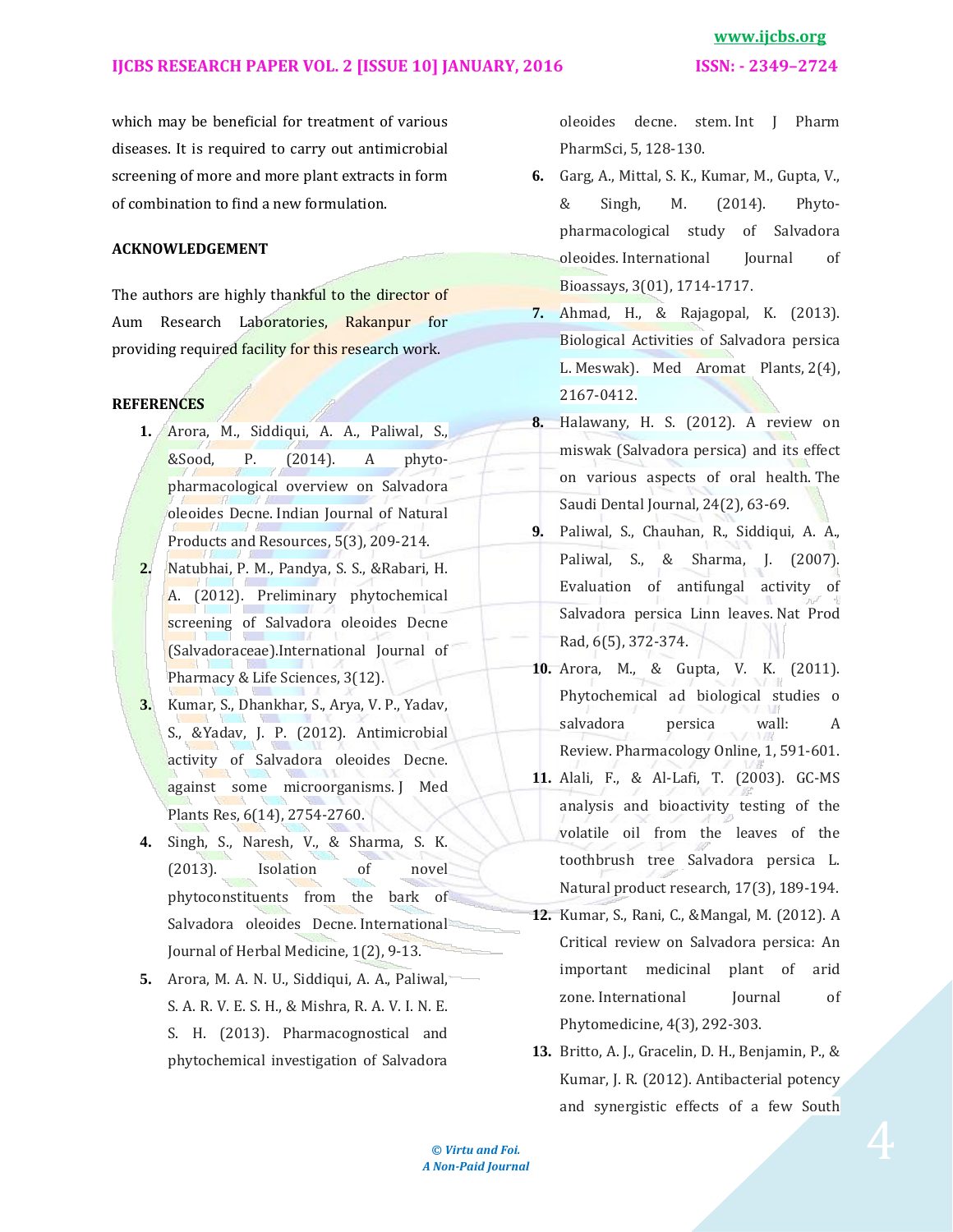which may be beneficial for treatment of various diseases. It is required to carry out antimicrobial screening of more and more plant extracts in form of combination to find a new formulation.

# **ACKNOWLEDGEMENT**

The authors are highly thankful to the director of Aum Research Laboratories, Rakanpur for providing required facility for this research work.

### **REFERENCES**

- **1.** Arora, M., Siddiqui, A. A., Paliwal, S., &Sood, P. (2014). A phytopharmacological overview on Salvadora oleoides Decne. Indian Journal of Natural Products and Resources, 5(3), 209-214.
- **2.** Natubhai, P. M., Pandya, S. S., &Rabari, H. A. (2012). Preliminary phytochemical screening of Salvadora oleoides Decne (Salvadoraceae).International Journal of Pharmacy & Life Sciences, 3(12).
- **3.** Kumar, S., Dhankhar, S., Arya, V. P., Yadav, S., &Yadav, J. P. (2012). Antimicrobial activity of Salvadora oleoides Decne. against some microorganisms. J Med Plants Res, 6(14), 2754-2760.
- **4.** Singh, S., Naresh, V., & Sharma, S. K. (2013). Isolation of novel phytoconstituents from the bark of Salvadora oleoides Decne. International Journal of Herbal Medicine, 1(2), 9-13.
- **5.** Arora, M. A. N. U., Siddiqui, A. A., Paliwal, S. A. R. V. E. S. H., & Mishra, R. A. V. I. N. E. S. H. (2013). Pharmacognostical and phytochemical investigation of Salvadora

oleoides decne. stem. Int J Pharm PharmSci, 5, 128-130.

- **6.** Garg, A., Mittal, S. K., Kumar, M., Gupta, V., & Singh, M. (2014). Phytopharmacological study of Salvadora oleoides. International Journal of Bioassays, 3(01), 1714-1717.
- **7.** Ahmad, H., & Rajagopal, K. (2013). Biological Activities of Salvadora persica L. Meswak). Med Aromat Plants, 2(4), 2167-0412.
- **8.** Halawany, H. S. (2012). A review on miswak (Salvadora persica) and its effect on various aspects of oral health. The Saudi Dental Journal, 24(2), 63-69.
- **9.** Paliwal, S., Chauhan, R., Siddiqui, A. A., Paliwal, S., & Sharma, J. (2007). Evaluation of antifungal activity of Salvadora persica Linn leaves. Nat Prod Rad, 6(5), 372-374.
- **10.** Arora, M., & Gupta, V. K. (2011). Phytochemical ad biological studies o salvadora persica wall: A Review. Pharmacology Online, 1, 591-601.
- **11.** Alali, F., & Al-Lafi, T. (2003). GC-MS analysis and bioactivity testing of the volatile oil from the leaves of the toothbrush tree Salvadora persica L. Natural product research, 17(3), 189-194.
- **12.** Kumar, S., Rani, C., &Mangal, M. (2012). A Critical review on Salvadora persica: An important medicinal plant of arid zone. International Iournal of Phytomedicine, 4(3), 292-303.
- **13.** Britto, A. J., Gracelin, D. H., Benjamin, P., & Kumar, J. R. (2012). Antibacterial potency and synergistic effects of a few South